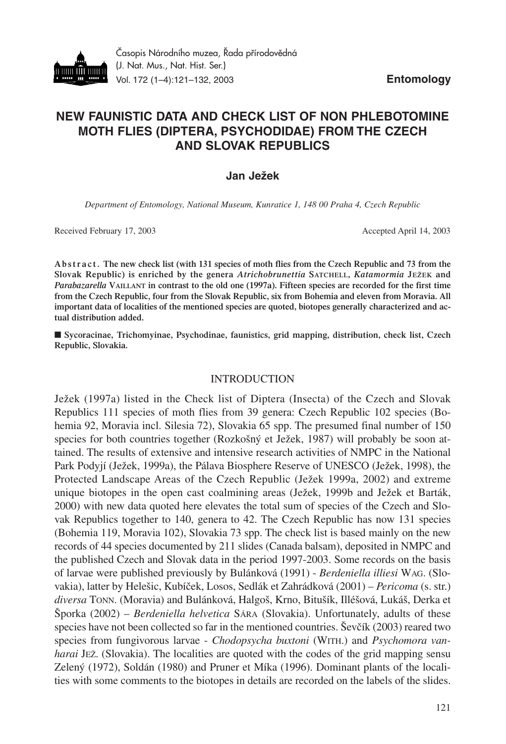

# **NEW FAUNISTIC DATA AND CHECK LIST OF NON PHLEBOTOMINE MOTH FLIES (DIPTERA, PSYCHODIDAE) FROM THE CZECH AND SLOVAK REPUBLICS**

## **Jan Ježek**

*Department of Entomology, National Museum, Kunratice 1, 148 00 Praha 4, Czech Republic*

Received February 17, 2003 and the settlement of the compact of the April 14, 2003 Accepted April 14, 2003

**Abstract. The new check list (with 131 species of moth flies from the Czech Republic and 73 from the Slovak Republic) is enriched by the genera** *Atrichobrunettia* **SATCHELL,** *Katamormia* **JEŽEK and** *Parabazarella* **VAILLANT in contrast to the old one (1997a). Fifteen species are recorded for the first time from the Czech Republic, four from the Slovak Republic, six from Bohemia and eleven from Moravia. All important data of localities of the mentioned species are quoted, biotopes generally characterized and actual distribution added.** 

■ Sycoracinae, Trichomyinae, Psychodinae, faunistics, grid mapping, distribution, check list, Czech **Republic, Slovakia.**

### INTRODUCTION

Ježek (1997a) listed in the Check list of Diptera (Insecta) of the Czech and Slovak Republics 111 species of moth flies from 39 genera: Czech Republic 102 species (Bohemia 92, Moravia incl. Silesia 72), Slovakia 65 spp. The presumed final number of 150 species for both countries together (Rozkošný et Ježek, 1987) will probably be soon attained. The results of extensive and intensive research activities of NMPC in the National Park Podyjí (Ježek, 1999a), the Pálava Biosphere Reserve of UNESCO (Ježek, 1998), the Protected Landscape Areas of the Czech Republic (Ježek 1999a, 2002) and extreme unique biotopes in the open cast coalmining areas (Ježek, 1999b and Ježek et Barták, 2000) with new data quoted here elevates the total sum of species of the Czech and Slovak Republics together to 140, genera to 42. The Czech Republic has now 131 species (Bohemia 119, Moravia 102), Slovakia 73 spp. The check list is based mainly on the new records of 44 species documented by 211 slides (Canada balsam), deposited in NMPC and the published Czech and Slovak data in the period 1997-2003. Some records on the basis of larvae were published previously by Bulánková (1991) - *Berdeniella illiesi* WAG. (Slovakia), latter by Helešic, Kubíček, Losos, Sedlák et Zahrádková (2001) – *Pericoma* (s. str.) *diversa* TONN. (Moravia) and Bulánková, Halgoš, Krno, Bitušík, Illéšová, Lukáš, Derka et Šporka (2002) – *Berdeniella helvetica* SÁRA (Slovakia). Unfortunately, adults of these species have not been collected so far in the mentioned countries. Ševčík (2003) reared two species from fungivorous larvae - *Chodopsycha buxtoni* (WITH.) and *Psychomora vanharai JEZ*. (Slovakia). The localities are quoted with the codes of the grid mapping sensu Zelený (1972), Soldán (1980) and Pruner et Míka (1996). Dominant plants of the localities with some comments to the biotopes in details are recorded on the labels of the slides.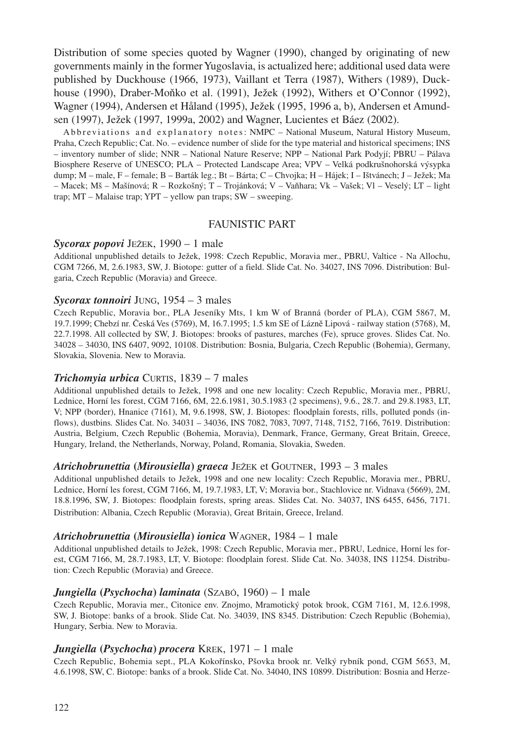Distribution of some species quoted by Wagner (1990), changed by originating of new governments mainly in the former Yugoslavia, is actualized here; additional used data were published by Duckhouse (1966, 1973), Vaillant et Terra (1987), Withers (1989), Duckhouse (1990), Draber-Moňko et al. (1991), Ježek (1992), Withers et O'Connor (1992), Wagner (1994), Andersen et Håland (1995), Ježek (1995, 1996 a, b), Andersen et Amundsen (1997), Ježek (1997, 1999a, 2002) and Wagner, Lucientes et Báez (2002).

Abbreviations and explanatory notes: NMPC – National Museum, Natural History Museum, Praha, Czech Republic; Cat. No. – evidence number of slide for the type material and historical specimens; INS – inventory number of slide; NNR – National Nature Reserve; NPP – National Park Podyjí; PBRU – Pálava Biosphere Reserve of UNESCO; PLA – Protected Landscape Area; VPV – Velká podkrušnohorská výsypka dump; M – male, F – female; B – Barták leg.; Bt – Bárta; C – Chvojka; H – Hájek; I – Ištvánech; J – Ježek; Ma – Macek; Mš – Mašínová; R – Rozkošný; T – Trojánková; V – Vaňhara; Vk – Vašek; Vl – Veselý; LT – light trap; MT – Malaise trap; YPT – yellow pan traps; SW – sweeping.

## FAUNISTIC PART

### *Sycorax popovi* JEŽEK, 1990 – 1 male

Additional unpublished details to Ježek, 1998: Czech Republic, Moravia mer., PBRU, Valtice - Na Allochu, CGM 7266, M, 2.6.1983, SW, J. Biotope: gutter of a field. Slide Cat. No. 34027, INS 7096. Distribution: Bulgaria, Czech Republic (Moravia) and Greece.

### *Sycorax tonnoiri* JUNG, 1954 – 3 males

Czech Republic, Moravia bor., PLA Jeseníky Mts, 1 km W of Branná (border of PLA), CGM 5867, M, 19.7.1999; Chebzí nr. Česká Ves (5769), M, 16.7.1995; 1.5 km SE of Lázně Lipová - railway station (5768), M, 22.7.1998. All collected by SW, J. Biotopes: brooks of pastures, marches (Fe), spruce groves. Slides Cat. No. 34028 – 34030, INS 6407, 9092, 10108. Distribution: Bosnia, Bulgaria, Czech Republic (Bohemia), Germany, Slovakia, Slovenia. New to Moravia.

### *Trichomyia urbica* CURTIS, 1839 – 7 males

Additional unpublished details to Ježek, 1998 and one new locality: Czech Republic, Moravia mer., PBRU, Lednice, Horní les forest, CGM 7166, 6M, 22.6.1981, 30.5.1983 (2 specimens), 9.6., 28.7. and 29.8.1983, LT, V; NPP (border), Hnanice (7161), M, 9.6.1998, SW, J. Biotopes: floodplain forests, rills, polluted ponds (inflows), dustbins*.* Slides Cat. No. 34031 – 34036, INS 7082, 7083, 7097, 7148, 7152, 7166, 7619. Distribution: Austria, Belgium, Czech Republic (Bohemia, Moravia), Denmark, France, Germany, Great Britain, Greece, Hungary, Ireland, the Netherlands, Norway, Poland, Romania, Slovakia, Sweden.

## *Atrichobrunettia* **(***Mirousiella***)** *graeca* JEŽEK et GOUTNER, 1993 – 3 males

Additional unpublished details to Ježek, 1998 and one new locality: Czech Republic, Moravia mer., PBRU, Lednice, Horní les forest, CGM 7166, M, 19.7.1983, LT, V; Moravia bor., Stachlovice nr. Vidnava (5669), 2M, 18.8.1996, SW, J. Biotopes: floodplain forests, spring areas. Slides Cat. No. 34037, INS 6455, 6456, 7171. Distribution: Albania, Czech Republic (Moravia), Great Britain, Greece, Ireland.

### *Atrichobrunettia* **(***Mirousiella***)** *ionica* WAGNER, 1984 – 1 male

Additional unpublished details to Ježek, 1998: Czech Republic, Moravia mer., PBRU, Lednice, Horní les forest, CGM 7166, M, 28.7.1983, LT, V. Biotope: floodplain forest. Slide Cat. No. 34038, INS 11254. Distribution: Czech Republic (Moravia) and Greece.

### *Jungiella* **(***Psychocha***)** *laminata* (SZABÓ, 1960) – 1 male

Czech Republic, Moravia mer., Citonice env. Znojmo, Mramotický potok brook, CGM 7161, M, 12.6.1998, SW, J*.* Biotope: banks of a brook. Slide Cat. No. 34039, INS 8345. Distribution: Czech Republic (Bohemia), Hungary, Serbia. New to Moravia.

### *Jungiella* **(***Psychocha***)** *procera* KREK, 1971 – 1 male

Czech Republic, Bohemia sept., PLA Kokořínsko, Pšovka brook nr. Velký rybník pond, CGM 5653, M, 4.6.1998, SW, C. Biotope: banks of a brook. Slide Cat. No. 34040, INS 10899. Distribution: Bosnia and Herze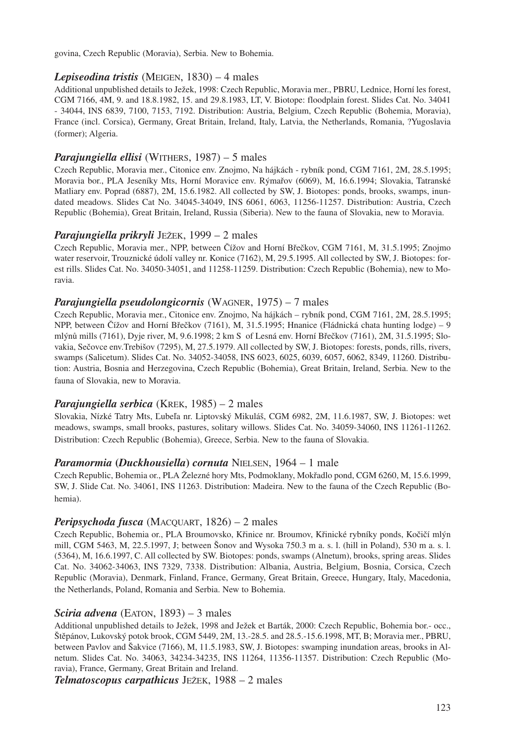govina, Czech Republic (Moravia), Serbia. New to Bohemia.

## *Lepiseodina tristis* (MEIGEN, 1830) – 4 males

Additional unpublished details to Ježek, 1998: Czech Republic, Moravia mer., PBRU, Lednice, Horní les forest, CGM 7166, 4M, 9. and 18.8.1982, 15. and 29.8.1983, LT, V. Biotope: floodplain forest. Slides Cat. No. 34041 - 34044, INS 6839, 7100, 7153, 7192. Distribution: Austria, Belgium, Czech Republic (Bohemia, Moravia), France (incl. Corsica), Germany, Great Britain, Ireland, Italy, Latvia, the Netherlands, Romania, ?Yugoslavia (former); Algeria.

### *Parajungiella ellisi* (WITHERS, 1987) – 5 males

Czech Republic, Moravia mer., Citonice env. Znojmo, Na hájkách - rybník pond, CGM 7161, 2M, 28.5.1995; Moravia bor., PLA Jeseníky Mts, Horní Moravice env. Rýmařov (6069), M, 16.6.1994; Slovakia, Tatranské Matliary env. Poprad (6887), 2M, 15.6.1982. All collected by SW, J. Biotopes: ponds, brooks, swamps, inundated meadows. Slides Cat No. 34045-34049, INS 6061, 6063, 11256-11257. Distribution: Austria, Czech Republic (Bohemia), Great Britain, Ireland, Russia (Siberia). New to the fauna of Slovakia, new to Moravia.

### *Parajungiella prikryli* JEŽEK, 1999 – 2 males

Czech Republic, Moravia mer., NPP, between Čížov and Horní Břečkov, CGM 7161, M, 31.5.1995; Znojmo water reservoir, Trouznické údolí valley nr. Konice (7162), M, 29.5.1995. All collected by SW, J. Biotopes: forest rills. Slides Cat. No. 34050-34051, and 11258-11259. Distribution: Czech Republic (Bohemia), new to Moravia.

### *Parajungiella pseudolongicornis* (WAGNER, 1975) – 7 males

Czech Republic, Moravia mer., Citonice env. Znojmo, Na hájkách – rybník pond, CGM 7161, 2M, 28.5.1995; NPP, between Čížov and Horní Břečkov (7161), M, 31.5.1995; Hnanice (Fládnická chata hunting lodge) – 9 mlýnů mills (7161), Dyje river, M, 9.6.1998; 2 km S of Lesná env. Horní Břečkov (7161), 2M, 31.5.1995; Slovakia, Sečovce env.Trebišov (7295), M, 27.5.1979. All collected by SW, J. Biotopes: forests, ponds, rills, rivers, swamps (Salicetum). Slides Cat. No. 34052-34058, INS 6023, 6025, 6039, 6057, 6062, 8349, 11260. Distribution: Austria, Bosnia and Herzegovina, Czech Republic (Bohemia), Great Britain, Ireland, Serbia. New to the fauna of Slovakia, new to Moravia.

## *Parajungiella serbica* (KREK, 1985) – 2 males

Slovakia, Nízké Tatry Mts, Ľubeľa nr. Liptovský Mikuláš, CGM 6982, 2M, 11.6.1987, SW, J. Biotopes: wet meadows, swamps, small brooks, pastures, solitary willows. Slides Cat. No. 34059-34060, INS 11261-11262. Distribution: Czech Republic (Bohemia), Greece, Serbia. New to the fauna of Slovakia.

### *Paramormia* **(***Duckhousiella***)** *cornuta* NIELSEN, 1964 – 1 male

Czech Republic, Bohemia or., PLA Železné hory Mts, Podmoklany, Mokřadlo pond, CGM 6260, M, 15.6.1999, SW, J. Slide Cat. No. 34061, INS 11263. Distribution: Madeira. New to the fauna of the Czech Republic (Bohemia).

## *Peripsychoda fusca* (MACQUART, 1826) – 2 males

Czech Republic, Bohemia or., PLA Broumovsko, Křinice nr. Broumov, Křinické rybníky ponds, Kočičí mlýn mill, CGM 5463, M, 22.5.1997, J; between Šonov and Wysoka 750.3 m a. s. l. (hill in Poland), 530 m a. s. l. (5364), M, 16.6.1997, C. All collected by SW. Biotopes: ponds, swamps (Alnetum), brooks, spring areas. Slides Cat. No. 34062-34063, INS 7329, 7338. Distribution: Albania, Austria, Belgium, Bosnia, Corsica, Czech Republic (Moravia), Denmark, Finland, France, Germany, Great Britain, Greece, Hungary, Italy, Macedonia, the Netherlands, Poland, Romania and Serbia. New to Bohemia.

## *Sciria advena* (EATON, 1893) – 3 males

Additional unpublished details to Ježek, 1998 and Ježek et Barták, 2000: Czech Republic, Bohemia bor.- occ., Štěpánov, Lukovský potok brook, CGM 5449, 2M, 13.-28.5. and 28.5.-15.6.1998, MT, B; Moravia mer., PBRU, between Pavlov and Šakvice (7166), M, 11.5.1983, SW, J. Biotopes: swamping inundation areas, brooks in Alnetum. Slides Cat. No. 34063, 34234-34235, INS 11264, 11356-11357. Distribution: Czech Republic (Moravia), France, Germany, Great Britain and Ireland.

*Telmatoscopus carpathicus* JEŽEK, 1988 – 2 males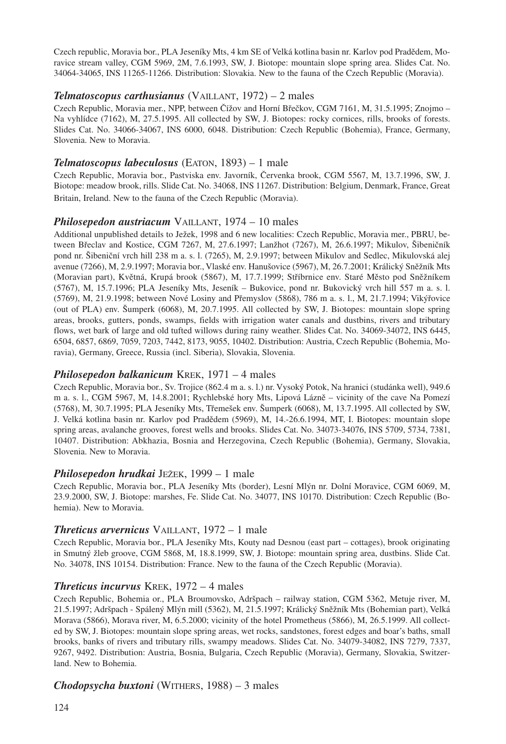Czech republic, Moravia bor., PLA Jeseníky Mts, 4 km SE of Velká kotlina basin nr. Karlov pod Pradědem, Moravice stream valley, CGM 5969, 2M, 7.6.1993, SW, J. Biotope: mountain slope spring area. Slides Cat. No. 34064-34065, INS 11265-11266. Distribution: Slovakia. New to the fauna of the Czech Republic (Moravia).

## *Telmatoscopus carthusianus* (VAILLANT, 1972) – 2 males

Czech Republic, Moravia mer., NPP, between Čížov and Horní Břečkov, CGM 7161, M, 31.5.1995; Znojmo – Na vyhlídce (7162), M, 27.5.1995. All collected by SW, J. Biotopes: rocky cornices, rills, brooks of forests. Slides Cat. No. 34066-34067, INS 6000, 6048. Distribution: Czech Republic (Bohemia), France, Germany, Slovenia. New to Moravia.

## *Telmatoscopus labeculosus* (EATON, 1893) – 1 male

Czech Republic, Moravia bor., Pastviska env. Javorník, Červenka brook, CGM 5567, M, 13.7.1996, SW, J. Biotope: meadow brook, rills. Slide Cat. No. 34068, INS 11267. Distribution: Belgium, Denmark, France, Great Britain, Ireland. New to the fauna of the Czech Republic (Moravia).

## *Philosepedon austriacum* VAILLANT, 1974 – 10 males

Additional unpublished details to Ježek, 1998 and 6 new localities: Czech Republic, Moravia mer., PBRU, between Břeclav and Kostice, CGM 7267, M, 27.6.1997; Lanžhot (7267), M, 26.6.1997; Mikulov, Šibeničník pond nr. Šibeniční vrch hill 238 m a. s. l. (7265), M, 2.9.1997; between Mikulov and Sedlec, Mikulovská alej avenue (7266), M, 2.9.1997; Moravia bor., Vlaské env. Hanušovice (5967), M, 26.7.2001; Králický Sněžník Mts (Moravian part), Květná, Krupá brook (5867), M, 17.7.1999; Stříbrnice env. Staré Město pod Sněžníkem (5767), M, 15.7.1996; PLA Jeseníky Mts, Jeseník – Bukovice, pond nr. Bukovický vrch hill 557 m a. s. l. (5769), M, 21.9.1998; between Nové Losiny and Přemyslov (5868), 786 m a. s. l., M, 21.7.1994; Vikýřovice (out of PLA) env. Šumperk (6068), M, 20.7.1995. All collected by SW, J. Biotopes: mountain slope spring areas, brooks, gutters, ponds, swamps, fields with irrigation water canals and dustbins, rivers and tributary flows, wet bark of large and old tufted willows during rainy weather. Slides Cat. No. 34069-34072, INS 6445, 6504, 6857, 6869, 7059, 7203, 7442, 8173, 9055, 10402. Distribution: Austria, Czech Republic (Bohemia, Moravia), Germany, Greece, Russia (incl. Siberia), Slovakia, Slovenia.

## *Philosepedon balkanicum* KREK, 1971 – 4 males

Czech Republic, Moravia bor., Sv. Trojice (862.4 m a. s. l.) nr. Vysoký Potok, Na hranici (studánka well), 949.6 m a. s. l., CGM 5967, M, 14.8.2001; Rychlebské hory Mts, Lipová Lázně – vicinity of the cave Na Pomezí (5768), M, 30.7.1995; PLA Jeseníky Mts, Třemešek env. Šumperk (6068), M, 13.7.1995. All collected by SW, J. Velká kotlina basin nr. Karlov pod Pradědem (5969), M, 14.-26.6.1994, MT, I. Biotopes: mountain slope spring areas, avalanche grooves, forest wells and brooks. Slides Cat. No. 34073-34076, INS 5709, 5734, 7381, 10407. Distribution: Abkhazia, Bosnia and Herzegovina, Czech Republic (Bohemia), Germany, Slovakia, Slovenia. New to Moravia.

## *Philosepedon hrudkai* JEŽEK, 1999 – 1 male

Czech Republic, Moravia bor., PLA Jeseníky Mts (border), Lesní Mlýn nr. Dolní Moravice, CGM 6069, M, 23.9.2000, SW, J. Biotope: marshes, Fe. Slide Cat. No. 34077, INS 10170. Distribution: Czech Republic (Bohemia). New to Moravia.

## *Threticus arvernicus* VAILLANT, 1972 – 1 male

Czech Republic, Moravia bor., PLA Jeseníky Mts, Kouty nad Desnou (east part – cottages), brook originating in Smutný žleb groove, CGM 5868, M, 18.8.1999, SW, J. Biotope: mountain spring area, dustbins. Slide Cat. No. 34078, INS 10154. Distribution: France. New to the fauna of the Czech Republic (Moravia).

## *Threticus incurvus* KREK, 1972 – 4 males

Czech Republic, Bohemia or., PLA Broumovsko, Adršpach – railway station, CGM 5362, Metuje river, M, 21.5.1997; Adršpach - Spálený Mlýn mill (5362), M, 21.5.1997; Králický Sněžník Mts (Bohemian part), Velká Morava (5866), Morava river, M, 6.5.2000; vicinity of the hotel Prometheus (5866), M, 26.5.1999. All collected by SW, J. Biotopes: mountain slope spring areas, wet rocks, sandstones, forest edges and boar's baths, small brooks, banks of rivers and tributary rills, swampy meadows. Slides Cat. No. 34079-34082, INS 7279, 7337, 9267, 9492. Distribution: Austria, Bosnia, Bulgaria, Czech Republic (Moravia), Germany, Slovakia, Switzerland. New to Bohemia.

## *Chodopsycha buxtoni* (WITHERS, 1988) – 3 males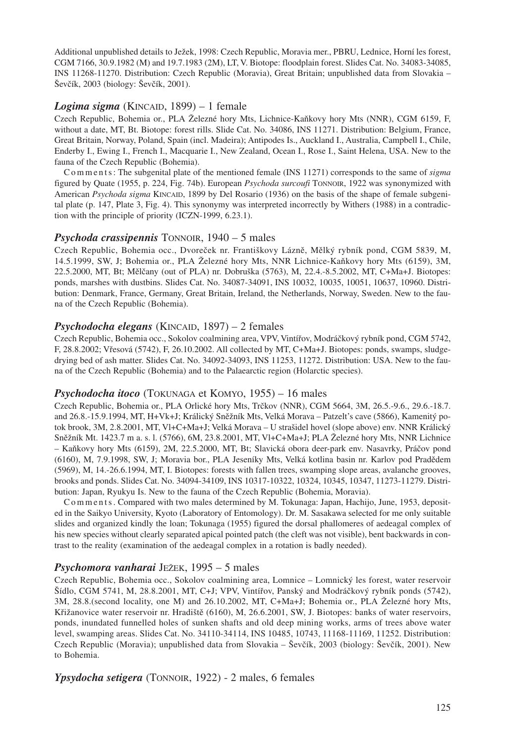Additional unpublished details to Ježek, 1998: Czech Republic, Moravia mer., PBRU, Lednice, Horní les forest, CGM 7166, 30.9.1982 (M) and 19.7.1983 (2M), LT, V. Biotope: floodplain forest. Slides Cat. No. 34083-34085, INS 11268-11270. Distribution: Czech Republic (Moravia), Great Britain; unpublished data from Slovakia – Ševčík, 2003 (biology: Ševčík, 2001).

## *Logima sigma* (KINCAID, 1899) – 1 female

Czech Republic, Bohemia or., PLA Železné hory Mts, Lichnice-Kaňkovy hory Mts (NNR), CGM 6159, F, without a date, MT, Bt. Biotope: forest rills. Slide Cat. No. 34086, INS 11271. Distribution: Belgium, France, Great Britain, Norway, Poland, Spain (incl. Madeira); Antipodes Is., Auckland I., Australia, Campbell I., Chile, Enderby I., Ewing I., French I., Macquarie I., New Zealand, Ocean I., Rose I., Saint Helena, USA. New to the fauna of the Czech Republic (Bohemia).

C o m m e n t s : The subgenital plate of the mentioned female (INS 11271) corresponds to the same of *sigma* figured by Quate (1955, p. 224, Fig. 74b). European *Psychoda surcoufi* TONNOIR, 1922 was synonymized with American *Psychoda sigma* KINCAID, 1899 by Del Rosario (1936) on the basis of the shape of female subgenital plate (p. 147, Plate 3, Fig. 4). This synonymy was interpreted incorrectly by Withers (1988) in a contradiction with the principle of priority (ICZN-1999, 6.23.1).

### *Psychoda crassipennis* TONNOIR, 1940 – 5 males

Czech Republic, Bohemia occ., Dvoreček nr. Františkovy Lázně, Mělký rybník pond, CGM 5839, M, 14.5.1999, SW, J; Bohemia or., PLA Železné hory Mts, NNR Lichnice-Kaňkovy hory Mts (6159), 3M, 22.5.2000, MT, Bt; Mělčany (out of PLA) nr. Dobruška (5763), M, 22.4.-8.5.2002, MT, C+Ma+J. Biotopes: ponds, marshes with dustbins. Slides Cat. No. 34087-34091, INS 10032, 10035, 10051, 10637, 10960. Distribution: Denmark, France, Germany, Great Britain, Ireland, the Netherlands, Norway, Sweden. New to the fauna of the Czech Republic (Bohemia).

### *Psychodocha elegans* (KINCAID, 1897) – 2 females

Czech Republic, Bohemia occ., Sokolov coalmining area, VPV, Vintířov, Modráčkový rybník pond, CGM 5742, F, 28.8.2002; Vřesová (5742), F, 26.10.2002. All collected by MT, C+Ma+J. Biotopes: ponds, swamps, sludgedrying bed of ash matter. Slides Cat. No. 34092-34093, INS 11253, 11272. Distribution: USA. New to the fauna of the Czech Republic (Bohemia) and to the Palaearctic region (Holarctic species).

### *Psychodocha itoco* (TOKUNAGA et KOMYO, 1955) – 16 males

Czech Republic, Bohemia or., PLA Orlické hory Mts, Trčkov (NNR), CGM 5664, 3M, 26.5.-9.6., 29.6.-18.7. and 26.8.-15.9.1994, MT, H+Vk+J; Králický Sněžník Mts, Velká Morava – Patzelt's cave (5866), Kamenitý potok brook, 3M, 2.8.2001, MT, Vl+C+Ma+J; Velká Morava – U strašidel hovel (slope above) env. NNR Králický Sněžník Mt. 1423.7 m a. s. l. (5766), 6M, 23.8.2001, MT, Vl+C+Ma+J; PLA Železné hory Mts, NNR Lichnice – Kaňkovy hory Mts (6159), 2M, 22.5.2000, MT, Bt; Slavická obora deer-park env. Nasavrky, Práčov pond (6160), M, 7.9.1998, SW, J; Moravia bor., PLA Jeseníky Mts, Velká kotlina basin nr. Karlov pod Pradědem (5969), M, 14.-26.6.1994, MT, I. Biotopes: forests with fallen trees, swamping slope areas, avalanche grooves, brooks and ponds. Slides Cat. No. 34094-34109, INS 10317-10322, 10324, 10345, 10347, 11273-11279. Distribution: Japan, Ryukyu Is. New to the fauna of the Czech Republic (Bohemia, Moravia).

C o m m e n t s . Compared with two males determined by M. Tokunaga: Japan, Hachijo, June, 1953, deposited in the Saikyo University, Kyoto (Laboratory of Entomology). Dr. M. Sasakawa selected for me only suitable slides and organized kindly the loan; Tokunaga (1955) figured the dorsal phallomeres of aedeagal complex of his new species without clearly separated apical pointed patch (the cleft was not visible), bent backwards in contrast to the reality (examination of the aedeagal complex in a rotation is badly needed).

### *Psychomora vanharai* JEŽEK, 1995 – 5 males

Czech Republic, Bohemia occ., Sokolov coalmining area, Lomnice – Lomnický les forest, water reservoir Šídlo, CGM 5741, M, 28.8.2001, MT, C+J; VPV, Vintířov, Panský and Modráčkový rybník ponds (5742), 3M, 28.8.(second locality, one M) and 26.10.2002, MT, C+Ma+J; Bohemia or., PLA Železné hory Mts, Křižanovice water reservoir nr. Hradiště (6160), M, 26.6.2001, SW, J. Biotopes: banks of water reservoirs, ponds, inundated funnelled holes of sunken shafts and old deep mining works, arms of trees above water level, swamping areas. Slides Cat. No. 34110-34114, INS 10485, 10743, 11168-11169, 11252. Distribution: Czech Republic (Moravia); unpublished data from Slovakia – Ševčík, 2003 (biology: Ševčík, 2001). New to Bohemia.

*Ypsydocha setigera* (TONNOIR, 1922) - 2 males, 6 females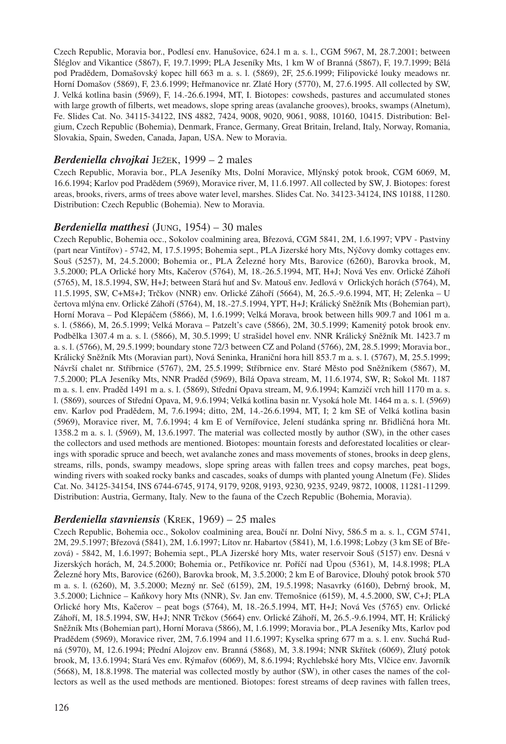Czech Republic, Moravia bor., Podlesí env. Hanušovice, 624.1 m a. s. l., CGM 5967, M, 28.7.2001; between Šléglov and Vikantice (5867), F, 19.7.1999; PLA Jeseníky Mts, 1 km W of Branná (5867), F, 19.7.1999; Bělá pod Pradědem, Domašovský kopec hill 663 m a. s. l. (5869), 2F, 25.6.1999; Filipovické louky meadows nr. Horní Domašov (5869), F, 23.6.1999; Heřmanovice nr. Zlaté Hory (5770), M, 27.6.1995. All collected by SW, J. Velká kotlina basin (5969), F, 14.-26.6.1994, MT, I. Biotopes: cowsheds, pastures and accumulated stones with large growth of filberts, wet meadows, slope spring areas (avalanche grooves), brooks, swamps (Alnetum), Fe. Slides Cat. No. 34115-34122, INS 4882, 7424, 9008, 9020, 9061, 9088, 10160, 10415. Distribution: Belgium, Czech Republic (Bohemia), Denmark, France, Germany, Great Britain, Ireland, Italy, Norway, Romania, Slovakia, Spain, Sweden, Canada, Japan, USA. New to Moravia.

## *Berdeniella chvojkai* JEŽEK, 1999 – 2 males

Czech Republic, Moravia bor., PLA Jeseníky Mts, Dolní Moravice, Mlýnský potok brook, CGM 6069, M, 16.6.1994; Karlov pod Pradědem (5969), Moravice river, M, 11.6.1997. All collected by SW, J. Biotopes: forest areas, brooks, rivers, arms of trees above water level, marshes. Slides Cat. No. 34123-34124, INS 10188, 11280. Distribution: Czech Republic (Bohemia). New to Moravia.

### *Berdeniella matthesi* (JUNG, 1954) – 30 males

Czech Republic, Bohemia occ., Sokolov coalmining area, Březová, CGM 5841, 2M, 1.6.1997; VPV - Pastviny (part near Vintířov) - 5742, M, 17.5.1995; Bohemia sept., PLA Jizerské hory Mts, Nýčovy domky cottages env. Souš (5257), M, 24.5.2000; Bohemia or., PLA Železné hory Mts, Barovice (6260), Barovka brook, M, 3.5.2000; PLA Orlické hory Mts, Kačerov (5764), M, 18.-26.5.1994, MT, H+J; Nová Ves env. Orlické Záhoří (5765), M, 18.5.1994, SW, H+J; between Stará huť and Sv. Matouš env. Jedlová v Orlických horách (5764), M, 11.5.1995, SW, C+Mš+J; Trčkov (NNR) env. Orlické Záhoří (5664), M, 26.5.-9.6.1994, MT, H; Zelenka – U čertova mlýna env. Orlické Záhoří (5764), M, 18.-27.5.1994, YPT, H+J; Králický Sněžník Mts (Bohemian part), Horní Morava – Pod Klepáčem (5866), M, 1.6.1999; Velká Morava, brook between hills 909.7 and 1061 m a. s. l. (5866), M, 26.5.1999; Velká Morava – Patzelt's cave (5866), 2M, 30.5.1999; Kamenitý potok brook env. Podbělka 1307.4 m a. s. l. (5866), M, 30.5.1999; U strašidel hovel env. NNR Králický Sněžník Mt. 1423.7 m a. s. l. (5766), M, 29.5.1999; boundary stone 72/3 between CZ and Poland (5766), 2M, 28.5.1999; Moravia bor., Králický Sněžník Mts (Moravian part), Nová Seninka, Hraniční hora hill 853.7 m a. s. l. (5767), M, 25.5.1999; Návrší chalet nr. Stříbrnice (5767), 2M, 25.5.1999; Stříbrnice env. Staré Město pod Sněžníkem (5867), M, 7.5.2000; PLA Jeseníky Mts, NNR Praděd (5969), Bílá Opava stream, M, 11.6.1974, SW, R; Sokol Mt. 1187 m a. s. l. env. Praděd 1491 m a. s. l. (5869), Střední Opava stream, M, 9.6.1994; Kamzičí vrch hill 1170 m a. s. l. (5869), sources of Střední Opava, M, 9.6.1994; Velká kotlina basin nr. Vysoká hole Mt. 1464 m a. s. l. (5969) env. Karlov pod Pradědem, M, 7.6.1994; ditto, 2M, 14.-26.6.1994, MT, I; 2 km SE of Velká kotlina basin (5969), Moravice river, M, 7.6.1994; 4 km E of Vernířovice, Jelení studánka spring nr. Břidličná hora Mt. 1358.2 m a. s. l. (5969), M, 13.6.1997. The material was collected mostly by author (SW), in the other cases the collectors and used methods are mentioned. Biotopes: mountain forests and deforestated localities or clearings with sporadic spruce and beech, wet avalanche zones and mass movements of stones, brooks in deep glens, streams, rills, ponds, swampy meadows, slope spring areas with fallen trees and copsy marches, peat bogs, winding rivers with soaked rocky banks and cascades, soaks of dumps with planted young Alnetum (Fe). Slides Cat. No. 34125-34154, INS 6744-6745, 9174, 9179, 9208, 9193, 9230, 9235, 9249, 9872, 10008, 11281-11299. Distribution: Austria, Germany, Italy. New to the fauna of the Czech Republic (Bohemia, Moravia).

## *Berdeniella stavniensis* (KREK, 1969) – 25 males

Czech Republic, Bohemia occ., Sokolov coalmining area, Boučí nr. Dolní Nivy, 586.5 m a. s. l., CGM 5741, 2M, 29.5.1997; Březová (5841), 2M, 1.6.1997; Lítov nr. Habartov (5841), M, 1.6.1998; Lobzy (3 km SE of Březová) - 5842, M, 1.6.1997; Bohemia sept., PLA Jizerské hory Mts, water reservoir Souš (5157) env. Desná v Jizerských horách, M, 24.5.2000; Bohemia or., Petříkovice nr. Poříčí nad Úpou (5361), M, 14.8.1998; PLA Železné hory Mts, Barovice (6260), Barovka brook, M, 3.5.2000; 2 km E of Barovice, Dlouhý potok brook 570 m a. s. l. (6260), M, 3.5.2000; Mezný nr. Seč (6159), 2M, 19.5.1998; Nasavrky (6160), Debrný brook, M, 3.5.2000; Lichnice – Kaňkovy hory Mts (NNR), Sv. Jan env. Třemošnice (6159), M, 4.5.2000, SW, C+J; PLA Orlické hory Mts, Kačerov – peat bogs (5764), M, 18.-26.5.1994, MT, H+J; Nová Ves (5765) env. Orlické Záhoří, M, 18.5.1994, SW, H+J; NNR Trčkov (5664) env. Orlické Záhoří, M, 26.5.-9.6.1994, MT, H; Králický Sněžník Mts (Bohemian part), Horní Morava (5866), M, 1.6.1999; Moravia bor., PLA Jeseníky Mts, Karlov pod Pradědem (5969), Moravice river, 2M, 7.6.1994 and 11.6.1997; Kyselka spring 677 m a. s. l. env. Suchá Rudná (5970), M, 12.6.1994; Přední Alojzov env. Branná (5868), M, 3.8.1994; NNR Skřítek (6069), Žlutý potok brook, M, 13.6.1994; Stará Ves env. Rýmařov (6069), M, 8.6.1994; Rychlebské hory Mts, Vlčice env. Javorník (5668), M, 18.8.1998. The material was collected mostly by author (SW), in other cases the names of the collectors as well as the used methods are mentioned. Biotopes: forest streams of deep ravines with fallen trees,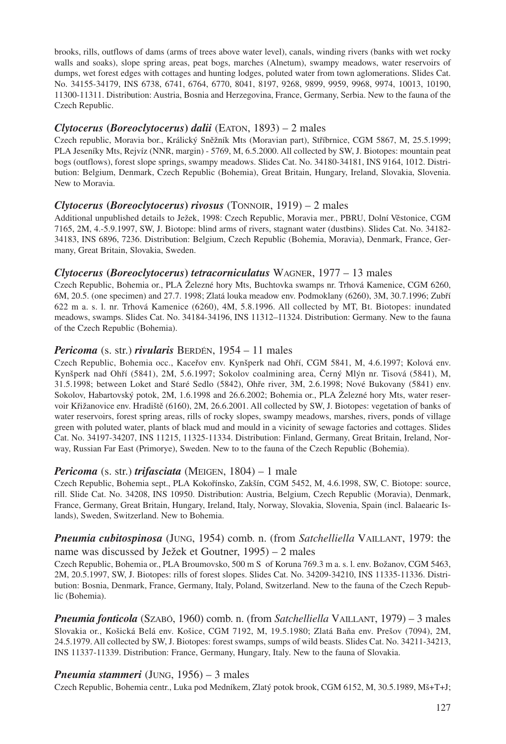brooks, rills, outflows of dams (arms of trees above water level), canals, winding rivers (banks with wet rocky walls and soaks), slope spring areas, peat bogs, marches (Alnetum), swampy meadows, water reservoirs of dumps, wet forest edges with cottages and hunting lodges, poluted water from town aglomerations. Slides Cat. No. 34155-34179, INS 6738, 6741, 6764, 6770, 8041, 8197, 9268, 9899, 9959, 9968, 9974, 10013, 10190, 11300-11311. Distribution: Austria, Bosnia and Herzegovina, France, Germany, Serbia. New to the fauna of the Czech Republic.

## *Clytocerus* **(***Boreoclytocerus***)** *dalii* (EATON, 1893) – 2 males

Czech republic, Moravia bor., Králický Sněžník Mts (Moravian part), Stříbrnice, CGM 5867, M, 25.5.1999; PLA Jeseníky Mts, Rejvíz (NNR, margin) - 5769, M, 6.5.2000. All collected by SW, J. Biotopes: mountain peat bogs (outflows), forest slope springs, swampy meadows. Slides Cat. No. 34180-34181, INS 9164, 1012. Distribution: Belgium, Denmark, Czech Republic (Bohemia), Great Britain, Hungary, Ireland, Slovakia, Slovenia. New to Moravia.

## *Clytocerus* **(***Boreoclytocerus***)** *rivosus* (TONNOIR, 1919) – 2 males

Additional unpublished details to Ježek, 1998: Czech Republic, Moravia mer., PBRU, Dolní Věstonice, CGM 7165, 2M, 4.-5.9.1997, SW, J. Biotope: blind arms of rivers, stagnant water (dustbins). Slides Cat. No. 34182- 34183, INS 6896, 7236. Distribution: Belgium, Czech Republic (Bohemia, Moravia), Denmark, France, Germany, Great Britain, Slovakia, Sweden.

## *Clytocerus* **(***Boreoclytocerus***)** *tetracorniculatus* WAGNER, 1977 – 13 males

Czech Republic, Bohemia or., PLA Železné hory Mts, Buchtovka swamps nr. Trhová Kamenice, CGM 6260, 6M, 20.5. (one specimen) and 27.7. 1998; Zlatá louka meadow env. Podmoklany (6260), 3M, 30.7.1996; Zubří 622 m a. s. l. nr. Trhová Kamenice (6260), 4M, 5.8.1996. All collected by MT, Bt. Biotopes: inundated meadows, swamps. Slides Cat. No. 34184-34196, INS 11312–11324. Distribution: Germany. New to the fauna of the Czech Republic (Bohemia).

## *Pericoma* (s. str.) *rivularis* BERDÉN, 1954 – 11 males

Czech Republic, Bohemia occ., Kaceřov env. Kynšperk nad Ohří, CGM 5841, M, 4.6.1997; Kolová env. Kynšperk nad Ohří (5841), 2M, 5.6.1997; Sokolov coalmining area, Černý Mlýn nr. Tisová (5841), M, 31.5.1998; between Loket and Staré Sedlo (5842), Ohře river, 3M, 2.6.1998; Nové Bukovany (5841) env. Sokolov, Habartovský potok, 2M, 1.6.1998 and 26.6.2002; Bohemia or., PLA Železné hory Mts, water reservoir Křižanovice env. Hradiště (6160), 2M, 26.6.2001. All collected by SW, J. Biotopes: vegetation of banks of water reservoirs, forest spring areas, rills of rocky slopes, swampy meadows, marshes, rivers, ponds of village green with poluted water, plants of black mud and mould in a vicinity of sewage factories and cottages. Slides Cat. No. 34197-34207, INS 11215, 11325-11334. Distribution: Finland, Germany, Great Britain, Ireland, Norway, Russian Far East (Primorye), Sweden. New to to the fauna of the Czech Republic (Bohemia).

## *Pericoma* (s. str.) *trifasciata* (MEIGEN, 1804) – 1 male

Czech Republic, Bohemia sept., PLA Kokořínsko, Zakšín, CGM 5452, M, 4.6.1998, SW, C. Biotope: source, rill. Slide Cat. No. 34208, INS 10950. Distribution: Austria, Belgium, Czech Republic (Moravia), Denmark, France, Germany, Great Britain, Hungary, Ireland, Italy, Norway, Slovakia, Slovenia, Spain (incl. Balaearic Islands), Sweden, Switzerland. New to Bohemia.

## *Pneumia cubitospinosa* (JUNG, 1954) comb. n. (from *Satchelliella* VAILLANT, 1979: the name was discussed by Ježek et Goutner, 1995) – 2 males

Czech Republic, Bohemia or., PLA Broumovsko, 500 m S of Koruna 769.3 m a. s. l. env. Božanov, CGM 5463, 2M, 20.5.1997, SW, J. Biotopes: rills of forest slopes. Slides Cat. No. 34209-34210, INS 11335-11336. Distribution: Bosnia, Denmark, France, Germany, Italy, Poland, Switzerland. New to the fauna of the Czech Republic (Bohemia).

*Pneumia fonticola* (SZABÓ, 1960) comb. n. (from *Satchelliella* VAILLANT, 1979) – 3 males Slovakia or., Košická Belá env. Košice, CGM 7192, M, 19.5.1980; Zlatá Baňa env. Prešov (7094), 2M, 24.5.1979. All collected by SW, J. Biotopes: forest swamps, sumps of wild beasts. Slides Cat. No. 34211-34213, INS 11337-11339. Distribution: France, Germany, Hungary, Italy. New to the fauna of Slovakia.

## *Pneumia stammeri* (JUNG, 1956) – 3 males

Czech Republic, Bohemia centr., Luka pod Medníkem, Zlatý potok brook, CGM 6152, M, 30.5.1989, Mš+T+J;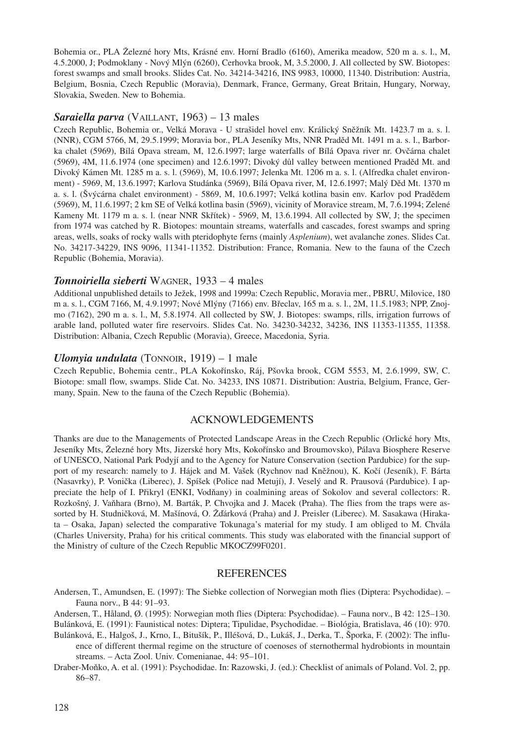Bohemia or., PLA Železné hory Mts, Krásné env. Horní Bradlo (6160), Amerika meadow, 520 m a. s. l., M, 4.5.2000, J; Podmoklany - Nový Mlýn (6260), Cerhovka brook, M, 3.5.2000, J. All collected by SW. Biotopes: forest swamps and small brooks. Slides Cat. No. 34214-34216, INS 9983, 10000, 11340. Distribution: Austria, Belgium, Bosnia, Czech Republic (Moravia), Denmark, France, Germany, Great Britain, Hungary, Norway, Slovakia, Sweden. New to Bohemia.

#### *Saraiella parva* (VAILLANT, 1963) – 13 males

Czech Republic, Bohemia or., Velká Morava - U strašidel hovel env. Králický Sněžník Mt. 1423.7 m a. s. l. (NNR), CGM 5766, M, 29.5.1999; Moravia bor., PLA Jeseníky Mts, NNR Praděd Mt. 1491 m a. s. l., Barborka chalet (5969), Bílá Opava stream, M, 12.6.1997; large waterfalls of Bílá Opava river nr. Ovčárna chalet (5969), 4M, 11.6.1974 (one specimen) and 12.6.1997; Divoký důl valley between mentioned Praděd Mt. and Divoký Kámen Mt. 1285 m a. s. l. (5969), M, 10.6.1997; Jelenka Mt. 1206 m a. s. l. (Alfredka chalet environment) - 5969, M, 13.6.1997; Karlova Studánka (5969), Bílá Opava river, M, 12.6.1997; Malý Děd Mt. 1370 m a. s. l. (Švýcárna chalet environment) - 5869, M, 10.6.1997; Velká kotlina basin env. Karlov pod Pradědem (5969), M, 11.6.1997; 2 km SE of Velká kotlina basin (5969), vicinity of Moravice stream, M, 7.6.1994; Zelené Kameny Mt. 1179 m a. s. l. (near NNR Skřítek) - 5969, M, 13.6.1994. All collected by SW, J; the specimen from 1974 was catched by R. Biotopes: mountain streams, waterfalls and cascades, forest swamps and spring areas, wells, soaks of rocky walls with pteridophyte ferns (mainly *Asplenium*), wet avalanche zones. Slides Cat. No. 34217-34229, INS 9096, 11341-11352. Distribution: France, Romania. New to the fauna of the Czech Republic (Bohemia, Moravia).

#### *Tonnoiriella sieberti* WAGNER, 1933 – 4 males

Additional unpublished details to Ježek, 1998 and 1999a: Czech Republic, Moravia mer., PBRU, Milovice, 180 m a. s. l., CGM 7166, M, 4.9.1997; Nové Mlýny (7166) env. Břeclav, 165 m a. s. l., 2M, 11.5.1983; NPP, Znojmo (7162), 290 m a. s. l., M, 5.8.1974. All collected by SW, J. Biotopes: swamps, rills, irrigation furrows of arable land, polluted water fire reservoirs. Slides Cat. No. 34230-34232, 34236, INS 11353-11355, 11358. Distribution: Albania, Czech Republic (Moravia), Greece, Macedonia, Syria.

#### *Ulomyia undulata* (TONNOIR, 1919) – 1 male

Czech Republic, Bohemia centr., PLA Kokořínsko, Ráj, Pšovka brook, CGM 5553, M, 2.6.1999, SW, C. Biotope: small flow, swamps. Slide Cat. No. 34233, INS 10871. Distribution: Austria, Belgium, France, Germany, Spain. New to the fauna of the Czech Republic (Bohemia).

### ACKNOWLEDGEMENTS

Thanks are due to the Managements of Protected Landscape Areas in the Czech Republic (Orlické hory Mts, Jeseníky Mts, Železné hory Mts, Jizerské hory Mts, Kokořínsko and Broumovsko), Pálava Biosphere Reserve of UNESCO, National Park Podyjí and to the Agency for Nature Conservation (section Pardubice) for the support of my research: namely to J. Hájek and M. Vašek (Rychnov nad Kněžnou), K. Kočí (Jeseník), F. Bárta (Nasavrky), P. Vonička (Liberec), J. Spíšek (Police nad Metují), J. Veselý and R. Prausová (Pardubice). I appreciate the help of I. Přikryl (ENKI, Vodňany) in coalmining areas of Sokolov and several collectors: R. Rozkošný, J. Vaňhara (Brno), M. Barták, P. Chvojka and J. Macek (Praha). The flies from the traps were assorted by H. Studničková, M. Mašínová, O. Žďárková (Praha) and J. Preisler (Liberec). M. Sasakawa (Hirakata – Osaka, Japan) selected the comparative Tokunaga's material for my study. I am obliged to M. Chvála (Charles University, Praha) for his critical comments. This study was elaborated with the financial support of the Ministry of culture of the Czech Republic MKOCZ99F0201.

#### REFERENCES

Andersen, T., Amundsen, E. (1997): The Siebke collection of Norwegian moth flies (Diptera: Psychodidae). – Fauna norv., B 44: 91–93.

Andersen, T., Håland, Ø. (1995): Norwegian moth flies (Diptera: Psychodidae). – Fauna norv., B 42: 125–130. Bulánková, E. (1991): Faunistical notes: Diptera; Tipulidae, Psychodidae. – Biológia, Bratislava, 46 (10): 970.

- Bulánková, E., Halgoš, J., Krno, I., Bitušík, P., Illéšová, D., Lukáš, J., Derka, T., Šporka, F. (2002): The influence of different thermal regime on the structure of coenoses of sternothermal hydrobionts in mountain streams. – Acta Zool. Univ. Comenianae, 44: 95–101.
- Draber-Moňko, A. et al. (1991): Psychodidae. In: Razowski, J. (ed.): Checklist of animals of Poland. Vol. 2, pp. 86–87.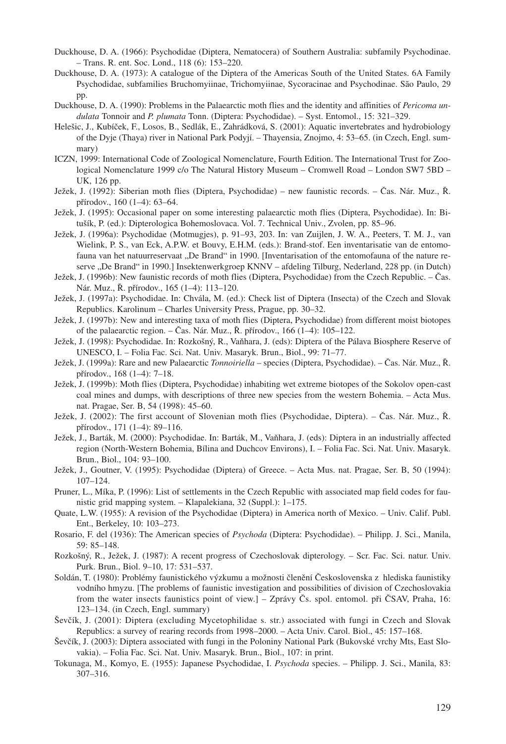- Duckhouse, D. A. (1966): Psychodidae (Diptera, Nematocera) of Southern Australia: subfamily Psychodinae. – Trans. R. ent. Soc. Lond., 118 (6): 153–220.
- Duckhouse, D. A. (1973): A catalogue of the Diptera of the Americas South of the United States. 6A Family Psychodidae, subfamilies Bruchomyiinae, Trichomyiinae, Sycoracinae and Psychodinae. São Paulo, 29 pp.
- Duckhouse, D. A. (1990): Problems in the Palaearctic moth flies and the identity and affinities of *Pericoma undulata* Tonnoir and *P. plumata* Tonn. (Diptera: Psychodidae). – Syst. Entomol., 15: 321–329.
- Helešic, J., Kubíček, F., Losos, B., Sedlák, E., Zahrádková, S. (2001): Aquatic invertebrates and hydrobiology of the Dyje (Thaya) river in National Park Podyjí. – Thayensia, Znojmo, 4: 53–65. (in Czech, Engl. summary)
- ICZN, 1999: International Code of Zoological Nomenclature, Fourth Edition. The International Trust for Zoological Nomenclature 1999 c/o The Natural History Museum – Cromwell Road – London SW7 5BD – UK, 126 pp.
- Ježek, J. (1992): Siberian moth flies (Diptera, Psychodidae) new faunistic records. Čas. Nár. Muz., Ř. přírodov., 160 (1–4): 63–64.
- Ježek, J. (1995): Occasional paper on some interesting palaearctic moth flies (Diptera, Psychodidae). In: Bitušík, P. (ed.): Dipterologica Bohemoslovaca. Vol. 7. Technical Univ., Zvolen, pp. 85–96.
- Ježek, J. (1996a): Psychodidae (Motmugjes), p. 91–93, 203. In: van Zuijlen, J. W. A., Peeters, T. M. J., van Wielink, P. S., van Eck, A.P.W. et Bouvy, E.H.M. (eds.): Brand-stof. Een inventarisatie van de entomofauna van het natuurreservaat "De Brand" in 1990. [Inventarisation of the entomofauna of the nature reserve "De Brand" in 1990.] Insektenwerkgroep KNNV – afdeling Tilburg, Nederland, 228 pp. (in Dutch)
- Ježek, J. (1996b): New faunistic records of moth flies (Diptera, Psychodidae) from the Czech Republic. Čas. Nár. Muz., Ř. přírodov., 165 (1–4): 113–120.
- Ježek, J. (1997a): Psychodidae. In: Chvála, M. (ed.): Check list of Diptera (Insecta) of the Czech and Slovak Republics. Karolinum – Charles University Press, Prague, pp. 30–32.
- Ježek, J. (1997b): New and interesting taxa of moth flies (Diptera, Psychodidae) from different moist biotopes of the palaearctic region. – Čas. Nár. Muz., Ř. přírodov., 166 (1–4): 105–122.
- Ježek, J. (1998): Psychodidae. In: Rozkošný, R., Vaňhara, J. (eds): Diptera of the Pálava Biosphere Reserve of UNESCO, I. – Folia Fac. Sci. Nat. Univ. Masaryk. Brun., Biol., 99: 71–77.
- Ježek, J. (1999a): Rare and new Palaearctic *Tonnoiriella* species (Diptera, Psychodidae). Čas. Nár. Muz., Ř. přírodov., 168 (1–4): 7–18.
- Ježek, J. (1999b): Moth flies (Diptera, Psychodidae) inhabiting wet extreme biotopes of the Sokolov open-cast coal mines and dumps, with descriptions of three new species from the western Bohemia. – Acta Mus. nat. Pragae, Ser. B, 54 (1998): 45–60.
- Ježek, J. (2002): The first account of Slovenian moth flies (Psychodidae, Diptera). Čas. Nár. Muz., Ř. přírodov., 171 (1–4): 89–116.
- Ježek, J., Barták, M. (2000): Psychodidae. In: Barták, M., Vaňhara, J. (eds): Diptera in an industrially affected region (North-Western Bohemia, Bílina and Duchcov Environs), I. – Folia Fac. Sci. Nat. Univ. Masaryk. Brun., Biol., 104: 93–100.
- Ježek, J., Goutner, V. (1995): Psychodidae (Diptera) of Greece. Acta Mus. nat. Pragae, Ser. B, 50 (1994): 107–124.
- Pruner, L., Míka, P. (1996): List of settlements in the Czech Republic with associated map field codes for faunistic grid mapping system. – Klapalekiana, 32 (Suppl.): 1–175.
- Quate, L.W. (1955): A revision of the Psychodidae (Diptera) in America north of Mexico. Univ. Calif. Publ. Ent., Berkeley, 10: 103–273.
- Rosario, F. del (1936): The American species of *Psychoda* (Diptera: Psychodidae). Philipp. J. Sci., Manila, 59: 85–148.
- Rozkošný, R., Ježek, J. (1987): A recent progress of Czechoslovak dipterology. Scr. Fac. Sci. natur. Univ. Purk. Brun., Biol. 9–10, 17: 531–537.
- Soldán, T. (1980): Problémy faunistického výzkumu a možnosti členění Československa z hlediska faunistiky vodního hmyzu. [The problems of faunistic investigation and possibilities of division of Czechoslovakia from the water insects faunistics point of view.] – Zprávy Čs. spol. entomol. při ČSAV, Praha, 16: 123–134. (in Czech, Engl. summary)
- Ševčík, J. (2001): Diptera (excluding Mycetophilidae s. str.) associated with fungi in Czech and Slovak Republics: a survey of rearing records from 1998–2000. – Acta Univ. Carol. Biol., 45: 157–168.
- Ševčík, J. (2003): Diptera associated with fungi in the Poloniny National Park (Bukovské vrchy Mts, East Slovakia). – Folia Fac. Sci. Nat. Univ. Masaryk. Brun., Biol., 107: in print.
- Tokunaga, M., Komyo, E. (1955): Japanese Psychodidae, I. *Psychoda* species. Philipp. J. Sci., Manila, 83: 307–316.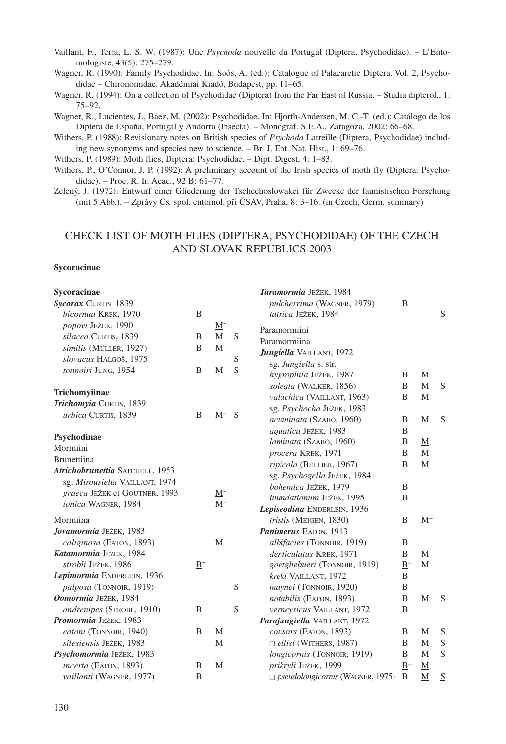Vaillant, F., Terra, L. S. W. (1987): Une *Psychoda* nouvelle du Portugal (Diptera, Psychodidae). – L'Entomologiste, 43(5): 275–279.

Wagner, R. (1990): Family Psychodidae. In: Soós, A. (ed.): Catalogue of Palaearctic Diptera. Vol. 2, Psychodidae – Chironomidae. Akadémiai Kiadó, Budapest, pp. 11–65.

Wagner, R. (1994): On a collection of Psychodidae (Diptera) from the Far East of Russia. – Studia dipterol., 1: 75–92.

Wagner, R., Lucientes, J., Báez, M. (2002): Psychodidae. In: Hjorth-Andersen, M. C.-T. (ed.): Catálogo de los Diptera de Espaňa, Portugal y Andorra (Insecta). – Monograf. S.E.A., Zaragoza, 2002: 66–68.

Withers, P. (1988): Revisionary notes on British species of *Psychoda* Latreille (Diptera, Psychodidae) including new synonyms and species new to science. – Br. J. Ent. Nat. Hist., 1: 69–76.

Withers, P. (1989): Moth flies, Diptera: Psychodidae. – Dipt. Digest, 4: 1–83.

Withers, P., O'Connor, J. P. (1992): A preliminary account of the Irish species of moth fly (Diptera: Psychodidae). – Proc. R. Ir. Acad., 92 B: 61–77.

Zelený, J. (1972): Entwurf einer Gliederung der Tschechoslowakei für Zwecke der faunistischen Forschung (mit 5 Abb.). – Zprávy Čs. spol. entomol. při ČSAV, Praha, 8: 3–16. (in Czech, Germ. summary)

## CHECK LIST OF MOTH FLIES (DIPTERA, PSYCHODIDAE) OF THE CZECH AND SLOVAK REPUBLICS 2003

## **Sycoracinae**

| Sycoracinae                     |       |                            |   | Taramormia JEŽEK, 1984                  |              |                  |        |
|---------------------------------|-------|----------------------------|---|-----------------------------------------|--------------|------------------|--------|
| Sycorax CURTIS, 1839            |       |                            |   | pulcherrima (WAGNER, 1979)              | B            |                  |        |
| bicornua KREK, 1970             | B     |                            |   | tatrica JEŽEK, 1984                     |              |                  | S      |
| popovi JEŽEK, 1990              |       | $\underline{\mathbf{M}}^+$ |   | Paramormiini                            |              |                  |        |
| silacea CURTIS, 1839            | B     | $\mathbf{M}$               | S | Paramormiina                            |              |                  |        |
| similis (MÜLLER, 1927)          | B     | M                          |   | Jungiella VAILLANT, 1972                |              |                  |        |
| slovacus HALGOŠ, 1975           |       |                            | S | sg. Jungiella s. str.                   |              |                  |        |
| tonnoiri JUNG, 1954             | B     | M                          | S | hygrophila JEŽEK, 1987                  | B            | M                |        |
|                                 |       |                            |   | soleata (WALKER, 1856)                  | B            | M                | S      |
| Trichomyiinae                   |       |                            |   | valachica (VAILLANT, 1963)              | B            | M                |        |
| Trichomyia CURTIS, 1839         |       |                            |   | sg. Psychocha JEŽEK, 1983               |              |                  |        |
| urbica CURTIS, 1839             | B     | $M^+$                      | S | acuminata (SZABÓ, 1960)                 | B            | M                | S      |
|                                 |       |                            |   | aquatica JEŽEK, 1983                    | B            |                  |        |
| Psychodinae                     |       |                            |   | laminata (SZABÓ, 1960)                  | B            | $\mathbf M$      |        |
| Mormiini                        |       |                            |   | procera KREK, 1971                      | $\mathbf{B}$ | M                |        |
| <b>Brunettiina</b>              |       |                            |   | ripicola (BELLIER, 1967)                | B            | M                |        |
| Atrichobrunettia SATCHELL, 1953 |       |                            |   | sg. Psychogella JEŽEK, 1984             |              |                  |        |
| sg. Mirousiella VAILLANT, 1974  |       |                            |   | bohemica JEŽEK, 1979                    | B            |                  |        |
| graeca JEŽEK et GOUTNER, 1993   |       | $M^+$                      |   | inundationum JEŽEK, 1995                | B            |                  |        |
| ionica WAGNER, 1984             |       | $M^+$                      |   | Lepiseodina ENDERLEIN, 1936             |              |                  |        |
| Mormiina                        |       |                            |   | tristis (MEIGEN, 1830)                  | B            | $M^+$            |        |
| Jovamormia JEŽEK, 1983          |       |                            |   | Panimerus EATON, 1913                   |              |                  |        |
| caliginosa (EATON, 1893)        |       | M                          |   | albifacies (TONNOIR, 1919)              | B            |                  |        |
| Katamormia JEŽEK, 1984          |       |                            |   | denticulatus KREK, 1971                 | B            | M                |        |
| strobli JEŽEK, 1986             | $B^+$ |                            |   | goetghebueri (TONNOIR, 1919)            | $B^+$        | M                |        |
| Lepimormia ENDERLEIN, 1936      |       |                            |   | kreki VAILLANT, 1972                    | B            |                  |        |
| palposa (TONNOIR, 1919)         |       |                            | S | maynei (TONNOIR, 1920)                  | B            |                  |        |
| Oomormia JEŽEK, 1984            |       |                            |   | notabilis (EATON, 1893)                 | B            | M                | S      |
| andrenipes (STROBL, 1910)       | B     |                            | S | verneysicus VAILLANT, 1972              | B            |                  |        |
| Promormia JEŽEK, 1983           |       |                            |   | Parajungiella VAILLANT, 1972            |              |                  |        |
| eatoni (TONNOIR, 1940)          | B     | M                          |   | consors (EATON, 1893)                   | B            | M                | S      |
| silesiensis JEŽEK, 1983         |       | M                          |   | $\Box$ ellisi (WITHERS, 1987)           | B            |                  |        |
| Psychomormia JEŽEK, 1983        |       |                            |   |                                         | B            | $\mathbf M$<br>M | S<br>S |
| incerta (EATON, 1893)           | B     | M                          |   | longicornis (TONNOIR, 1919)             | $B^+$        |                  |        |
|                                 | B     |                            |   | prikryli JEŽEK, 1999                    | B            | M                |        |
| vaillanti (WAGNER, 1977)        |       |                            |   | $\Box$ pseudolongicornis (WAGNER, 1975) |              | $\mathbf{M}$     | S      |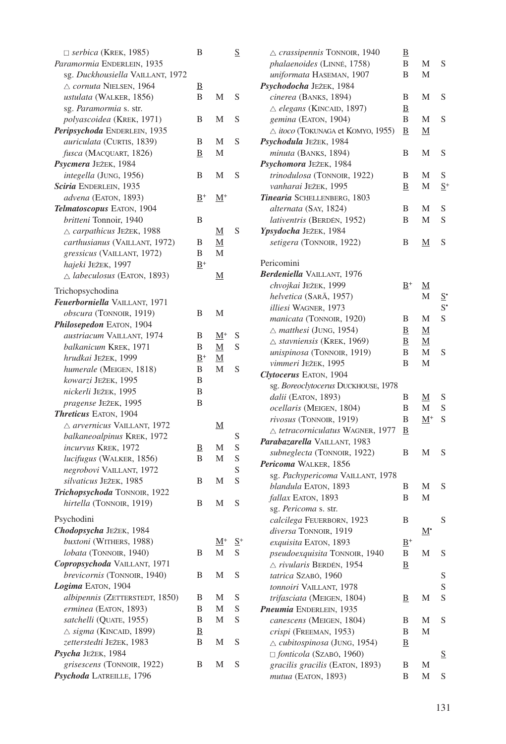| $\Box$ serbica (KREK, 1985)           | B                       |                | $\underline{S}$   | $\triangle$ crassipennis TONNOIR, 1940             | $\overline{\mathbf{B}}$    |                          |                  |
|---------------------------------------|-------------------------|----------------|-------------------|----------------------------------------------------|----------------------------|--------------------------|------------------|
| Paramormia ENDERLEIN, 1935            |                         |                |                   | phalaenoides (LINNÉ, 1758)                         | B                          | М                        | S                |
| sg. Duckhousiella VAILLANT, 1972      |                         |                |                   | uniformata HASEMAN, 1907                           | B                          | М                        |                  |
| △ cornuta NIELSEN, 1964               | $\overline{\mathbf{B}}$ |                |                   | Psychodocha JEŽEK, 1984                            |                            |                          |                  |
| ustulata (WALKER, 1856)               | B                       | М              | S                 | cinerea (BANKS, 1894)                              | В                          | М                        | S                |
| sg. Paramormia s. str.                |                         |                |                   | △ elegans (KINCAID, 1897)                          | Β                          |                          |                  |
| polyascoidea (KREK, 1971)             | B                       | Μ              | S                 | gemina (EATON, 1904)                               | B                          | М                        | S                |
| Peripsychoda ENDERLEIN, 1935          |                         |                |                   | $\triangle$ <i>itoco</i> (TOKUNAGA et KOMYO, 1955) | $_{\rm B}$                 | <u>M</u>                 |                  |
| auriculata (CURTIS, 1839)             | B                       | Μ              | S                 | Psychodula JEŽEK, 1984                             |                            |                          |                  |
| fusca (MACQUART, 1826)                | В                       | Μ              |                   | minuta (BANKS, 1894)                               | B                          | М                        | S                |
| Psycmera JEŽEK, 1984                  |                         |                |                   | Psychomora JEŽEK, 1984                             |                            |                          |                  |
| integella (JUNG, 1956)                | B                       | Μ              | S                 | trinodulosa (TONNOIR, 1922)                        | В                          | М                        | S                |
| Sciria ENDERLEIN, 1935                |                         |                |                   | vanharai JEŽEK, 1995                               | В                          | М                        | $S^+$            |
| advena (EATON, 1893)                  | $B^+$                   | $\rm M^+$      |                   | Tinearia SCHELLENBERG, 1803                        |                            |                          |                  |
| Telmatoscopus EATON, 1904             |                         |                |                   | alternata (SAY, 1824)                              | В                          | М                        | S                |
| britteni Tonnoir, 1940                | B                       |                |                   | lativentris (BERDÉN, 1952)                         | B                          | М                        | S                |
| △ carpathicus JEŽEK, 1988             |                         | <u>M</u>       | S                 | Ypsydocha JEŽEK, 1984                              |                            |                          |                  |
| carthusianus (VAILLANT, 1972)         | В                       | <u>M</u>       |                   | setigera (TONNOIR, 1922)                           | B                          | <u>M</u>                 | S                |
| gressicus (VAILLANT, 1972)            | B                       | М              |                   |                                                    |                            |                          |                  |
| hajeki JEŽEK, 1997                    | $B^+$                   |                |                   | Pericomini                                         |                            |                          |                  |
| $\triangle$ labeculosus (EATON, 1893) |                         | <u>M</u>       |                   | Berdeniella VAILLANT, 1976                         |                            |                          |                  |
|                                       |                         |                |                   | chvojkai JEŽEK, 1999                               | $\underline{\mathbf{B}}^+$ | $\underline{\mathrm{M}}$ |                  |
| Trichopsychodina                      |                         |                |                   | helvetica (SARĀ, 1957)                             |                            | М                        | $\overline{z}$ . |
| Feuerborniella VAILLANT, 1971         |                         |                |                   | <i>illiesi</i> WAGNER, 1973                        |                            |                          | $S^{\bullet}$    |
| obscura (TONNOIR, 1919)               | B                       | М              |                   | manicata (TONNOIR, 1920)                           | В                          | М                        | S                |
| Philosepedon EATON, 1904              |                         |                |                   | $\triangle$ matthesi (JUNG, 1954)                  | $_{\rm B}$                 | <u>M</u>                 |                  |
| austriacum VAILLANT, 1974             | В                       | $\rm M^+$      | S                 | $\triangle$ stavniensis (KREK, 1969)               | Β                          | <u>M</u>                 |                  |
| balkanicum KREK, 1971                 | B                       | М              | S                 | unispinosa (TONNOIR, 1919)                         | B                          | М                        | S                |
| hrudkai JEŽEK, 1999                   | $B^+$                   | M              |                   | vimmeri JEŽEK, 1995                                | B                          | M                        |                  |
| humerale (MEIGEN, 1818)               | B                       | М              | S                 | Clytocerus EATON, 1904                             |                            |                          |                  |
| kowarzi JEŽEK, 1995                   | B                       |                |                   | sg. Boreoclytocerus DUCKHOUSE, 1978                |                            |                          |                  |
| nickerli JEŽEK, 1995                  | B                       |                |                   | dalii (EATON, 1893)                                | B                          |                          |                  |
| pragense JEŽEK, 1995                  | B                       |                |                   | ocellaris (MEIGEN, 1804)                           | B                          | <u>M</u><br>М            | S<br>S           |
| <b>Threticus EATON, 1904</b>          |                         |                |                   | rivosus (TONNOIR, 1919)                            | B                          |                          | S                |
| $\triangle$ arvernicus VAILLANT, 1972 |                         | <u>M</u>       |                   |                                                    |                            | $M^+$                    |                  |
| balkaneoalpinus KREK, 1972            |                         |                | S                 | $\triangle$ tetracorniculatus WAGNER, 1977         | B                          |                          |                  |
| incurvus KREK, 1972                   | $_{\rm B}$              | М              | S                 | Parabazarella VAILLANT, 1983                       |                            |                          |                  |
| lucifugus (WALKER, 1856)              | B                       | Μ              | S                 | subneglecta (TONNOIR, 1922)                        | B                          | М                        | S                |
| negrobovi VAILLANT, 1972              |                         |                | S                 | Pericoma WALKER, 1856                              |                            |                          |                  |
| silvaticus JEŽEK, 1985                | B                       | М              | S                 | sg. Pachypericoma VAILLANT, 1978                   |                            |                          |                  |
| Trichopsychoda TONNOIR, 1922          |                         |                |                   | blandula EATON, 1893                               | B                          | М                        | S                |
| hirtella (TONNOIR, 1919)              | B                       | М              | S                 | fallax EATON, 1893                                 | B                          | М                        |                  |
|                                       |                         |                |                   | sg. Pericoma s. str.                               |                            |                          |                  |
| Psychodini                            |                         |                |                   | calcilega FEUERBORN, 1923                          | B                          |                          | S                |
| Chodopsycha JEŽEK, 1984               |                         |                |                   | diversa TONNOIR, 1919                              |                            | М.                       |                  |
| buxtoni (WITHERS, 1988)               |                         | $\mathbf{M}^+$ | $\underline{S}^+$ | exquisita EATON, 1893                              | $B^+$                      |                          |                  |
| lobata (TONNOIR, 1940)                | В                       | M              | S                 | pseudoexquisita TONNOIR, 1940                      | B                          | М                        | S                |
| Copropsychoda VAILLANT, 1971          |                         |                |                   | $\triangle$ rivularis BERDÉN, 1954                 | ₿                          |                          |                  |
| brevicornis (TONNOIR, 1940)           | B                       | M              | S                 | tatrica SZABÓ, 1960                                |                            |                          | S                |
| Logima EATON, 1904                    |                         |                |                   | tonnoiri VAILLANT, 1978                            |                            |                          | S                |
| albipennis (ZETTERSTEDT, 1850)        | B                       | Μ              | S                 | trifasciata (MEIGEN, 1804)                         | $\overline{\mathbf{B}}$    | М                        | $\mathbf S$      |
| erminea (EATON, 1893)                 | B                       | M              | $\mathbf S$       | Pneumia ENDERLEIN, 1935                            |                            |                          |                  |
| satchelli (QUATE, 1955)               | B                       | Μ              | $\mathbf S$       | canescens (MEIGEN, 1804)                           | B                          | М                        | S                |
| $\triangle$ sigma (KINCAID, 1899)     | $\overline{\mathbf{B}}$ |                |                   | crispi (FREEMAN, 1953)                             | B                          | М                        |                  |
| zetterstedti JEŽEK, 1983              | B                       | Μ              | S                 | $\triangle$ cubitospinosa (JUNG, 1954)             | B                          |                          |                  |
| Psycha JEŽEK, 1984                    |                         |                |                   | $\Box$ fonticola (SZABÓ, 1960)                     |                            |                          | $\overline{2}$   |
| grisescens (TONNOIR, 1922)            | B                       | М              | S                 | gracilis gracilis (EATON, 1893)                    | B                          | Μ                        |                  |
| Psychoda LATREILLE, 1796              |                         |                |                   | mutua (EATON, 1893)                                | B                          | М                        | S                |